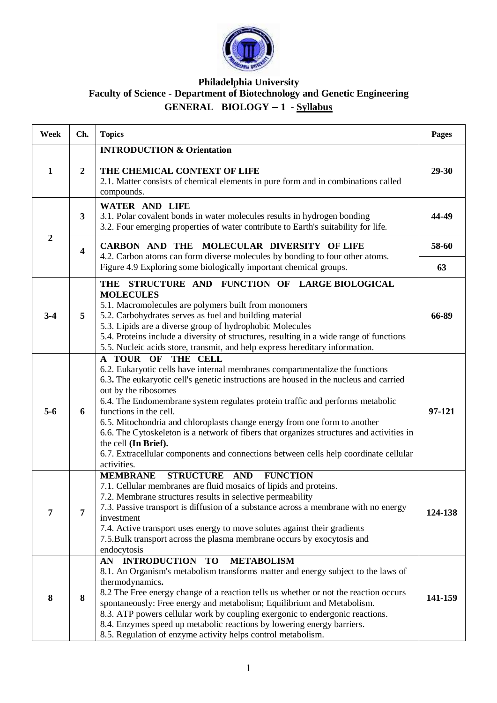

## **Philadelphia University Faculty of Science - Department of Biotechnology and Genetic Engineering GENERAL BIOLOGY – 1 - Syllabus**

| Week             | Ch.                     | <b>Topics</b>                                                                                                                                                                                                                                                                                                                                                                                                                                                                                                                                                                                                                          | <b>Pages</b> |
|------------------|-------------------------|----------------------------------------------------------------------------------------------------------------------------------------------------------------------------------------------------------------------------------------------------------------------------------------------------------------------------------------------------------------------------------------------------------------------------------------------------------------------------------------------------------------------------------------------------------------------------------------------------------------------------------------|--------------|
| 1                | $\boldsymbol{2}$        | <b>INTRODUCTION &amp; Orientation</b><br>THE CHEMICAL CONTEXT OF LIFE<br>2.1. Matter consists of chemical elements in pure form and in combinations called<br>compounds.                                                                                                                                                                                                                                                                                                                                                                                                                                                               | 29-30        |
| $\boldsymbol{2}$ | 3                       | <b>WATER AND LIFE</b><br>3.1. Polar covalent bonds in water molecules results in hydrogen bonding<br>3.2. Four emerging properties of water contribute to Earth's suitability for life.                                                                                                                                                                                                                                                                                                                                                                                                                                                | 44-49        |
|                  | $\overline{\mathbf{4}}$ | CARBON AND THE MOLECULAR DIVERSITY OF LIFE                                                                                                                                                                                                                                                                                                                                                                                                                                                                                                                                                                                             | 58-60        |
|                  |                         | 4.2. Carbon atoms can form diverse molecules by bonding to four other atoms.<br>Figure 4.9 Exploring some biologically important chemical groups.                                                                                                                                                                                                                                                                                                                                                                                                                                                                                      | 63           |
| $3 - 4$          | 5                       | THE STRUCTURE AND FUNCTION OF LARGE BIOLOGICAL<br><b>MOLECULES</b><br>5.1. Macromolecules are polymers built from monomers<br>5.2. Carbohydrates serves as fuel and building material<br>5.3. Lipids are a diverse group of hydrophobic Molecules<br>5.4. Proteins include a diversity of structures, resulting in a wide range of functions<br>5.5. Nucleic acids store, transmit, and help express hereditary information.                                                                                                                                                                                                           | 66-89        |
| $5-6$            | 6                       | A TOUR OF THE CELL<br>6.2. Eukaryotic cells have internal membranes compartmentalize the functions<br>6.3. The eukaryotic cell's genetic instructions are housed in the nucleus and carried<br>out by the ribosomes<br>6.4. The Endomembrane system regulates protein traffic and performs metabolic<br>functions in the cell.<br>6.5. Mitochondria and chloroplasts change energy from one form to another<br>6.6. The Cytoskeleton is a network of fibers that organizes structures and activities in<br>the cell (In Brief).<br>6.7. Extracellular components and connections between cells help coordinate cellular<br>activities. | 97-121       |
| 7                | $\overline{7}$          | STRUCTURE AND FUNCTION<br><b>MEMBRANE</b><br>7.1. Cellular membranes are fluid mosaics of lipids and proteins.<br>7.2. Membrane structures results in selective permeability<br>7.3. Passive transport is diffusion of a substance across a membrane with no energy<br>investment<br>7.4. Active transport uses energy to move solutes against their gradients<br>7.5. Bulk transport across the plasma membrane occurs by exocytosis and<br>endocytosis                                                                                                                                                                               | 124-138      |
| 8                | 8                       | <b>INTRODUCTION TO</b><br><b>METABOLISM</b><br>AN<br>8.1. An Organism's metabolism transforms matter and energy subject to the laws of<br>thermodynamics.<br>8.2 The Free energy change of a reaction tells us whether or not the reaction occurs<br>spontaneously: Free energy and metabolism; Equilibrium and Metabolism.<br>8.3. ATP powers cellular work by coupling exergonic to endergonic reactions.<br>8.4. Enzymes speed up metabolic reactions by lowering energy barriers.<br>8.5. Regulation of enzyme activity helps control metabolism.                                                                                  | 141-159      |